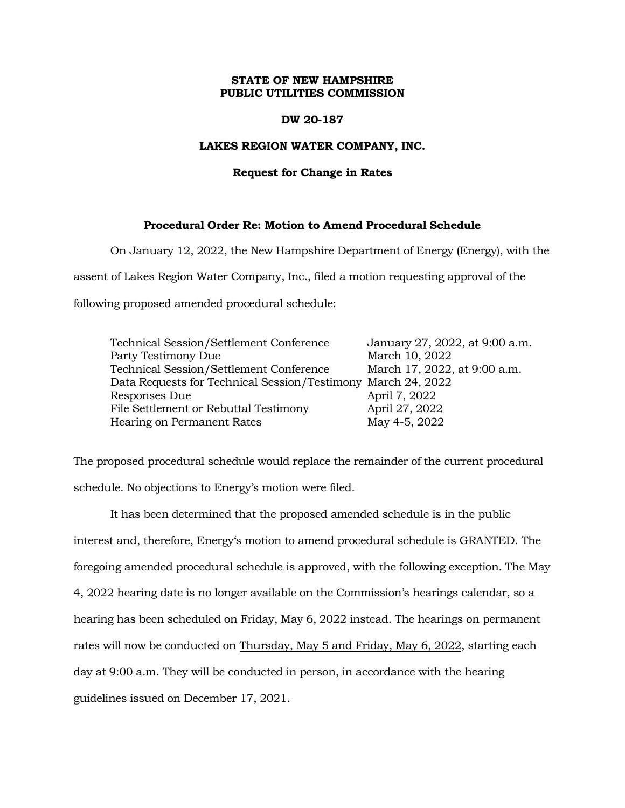## **STATE OF NEW HAMPSHIRE PUBLIC UTILITIES COMMISSION**

## **DW 20-187**

## **LAKES REGION WATER COMPANY, INC.**

#### **Request for Change in Rates**

# **Procedural Order Re: Motion to Amend Procedural Schedule**

On January 12, 2022, the New Hampshire Department of Energy (Energy), with the

assent of Lakes Region Water Company, Inc., filed a motion requesting approval of the

following proposed amended procedural schedule:

| Technical Session/Settlement Conference                      | January 27, 2022, at 9:00 a.m. |
|--------------------------------------------------------------|--------------------------------|
| Party Testimony Due                                          | March 10, 2022                 |
| Technical Session/Settlement Conference                      | March 17, 2022, at 9:00 a.m.   |
| Data Requests for Technical Session/Testimony March 24, 2022 |                                |
| Responses Due                                                | April 7, 2022                  |
| File Settlement or Rebuttal Testimony                        | April 27, 2022                 |
| Hearing on Permanent Rates                                   | May 4-5, 2022                  |

The proposed procedural schedule would replace the remainder of the current procedural schedule. No objections to Energy's motion were filed.

It has been determined that the proposed amended schedule is in the public interest and, therefore, Energy's motion to amend procedural schedule is GRANTED. The foregoing amended procedural schedule is approved, with the following exception. The May 4, 2022 hearing date is no longer available on the Commission's hearings calendar, so a hearing has been scheduled on Friday, May 6, 2022 instead. The hearings on permanent rates will now be conducted on Thursday, May 5 and Friday, May 6, 2022, starting each day at 9:00 a.m. They will be conducted in person, in accordance with the hearing guidelines issued on December 17, 2021.